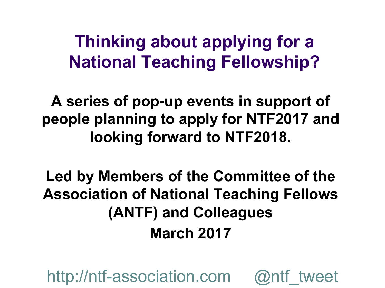#### **Thinking about applying for a National Teaching Fellowship?**

**A series of pop-up events in support of people planning to apply for NTF2017 and looking forward to NTF2018.** 

**Led by Members of the Committee of the Association of National Teaching Fellows (ANTF) and Colleagues March 2017**

http://ntf-association.com @ntf\_tweet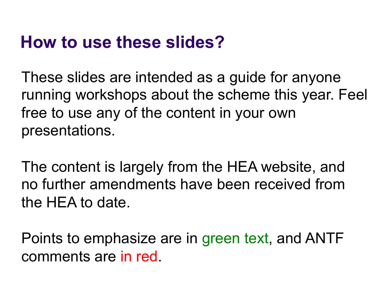#### **How to use these slides?**

These slides are intended as a guide for anyone running workshops about the scheme this year. Feel free to use any of the content in your own presentations.

The content is largely from the HEA website, and no further amendments have been received from the HEA to date.

Points to emphasize are in green text, and ANTF comments are in red.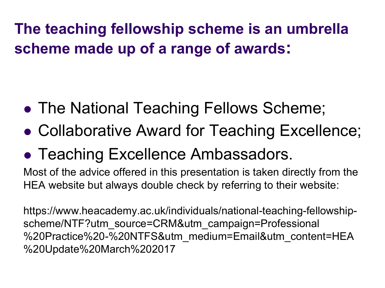**The teaching fellowship scheme is an umbrella scheme made up of a range of awards:** 

- The National Teaching Fellows Scheme;
- Collaborative Award for Teaching Excellence;
- Teaching Excellence Ambassadors.

Most of the advice offered in this presentation is taken directly from the HEA website but always double check by referring to their website:

https://www.heacademy.ac.uk/individuals/national-teaching-fellowshipscheme/NTF?utm\_source=CRM&utm\_campaign=Professional %20Practice%20-%20NTFS&utm\_medium=Email&utm\_content=HEA %20Update%20March%202017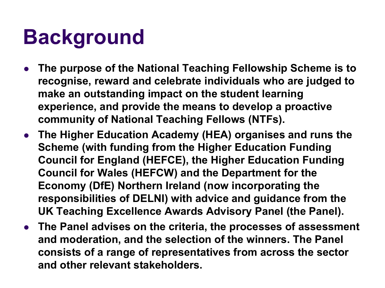## **Background**

- <sup>l</sup> **The purpose of the National Teaching Fellowship Scheme is to recognise, reward and celebrate individuals who are judged to make an outstanding impact on the student learning experience, and provide the means to develop a proactive community of National Teaching Fellows (NTFs).**
- **The Higher Education Academy (HEA) organises and runs the Scheme (with funding from the Higher Education Funding Council for England (HEFCE), the Higher Education Funding Council for Wales (HEFCW) and the Department for the Economy (DfE) Northern Ireland (now incorporating the responsibilities of DELNI) with advice and guidance from the UK Teaching Excellence Awards Advisory Panel (the Panel).**
- **The Panel advises on the criteria, the processes of assessment and moderation, and the selection of the winners. The Panel consists of a range of representatives from across the sector and other relevant stakeholders.**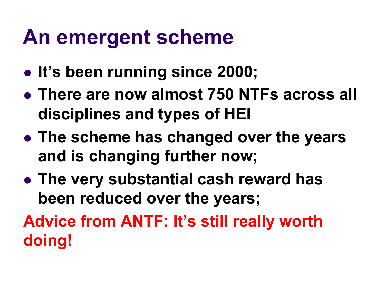#### **An emergent scheme**

- It's been running since 2000;
- **There are now almost 750 NTFs across all disciplines and types of HEI**
- **The scheme has changed over the years and is changing further now;**
- **The very substantial cash reward has been reduced over the years;**

**Advice from ANTF: It's still really worth doing!**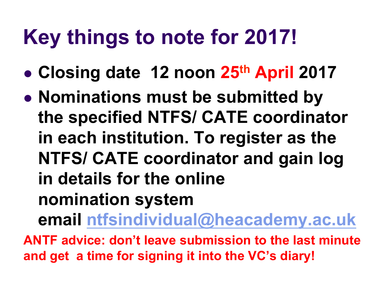## **Key things to note for 2017!**

- <sup>l</sup> **Closing date 12 noon 25th April 2017**
- **Nominations must be submitted by the specified NTFS/ CATE coordinator in each institution. To register as the NTFS/ CATE coordinator and gain log in details for the online nomination system email ntfsindividual@heacademy.ac.uk**

**ANTF advice: don't leave submission to the last minute and get a time for signing it into the VC's diary!**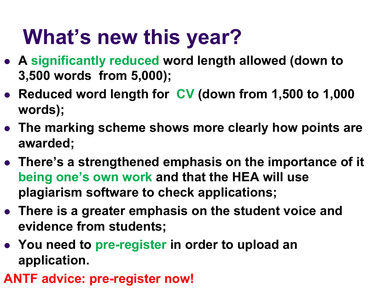## **What's new this year?**

- <sup>l</sup> **A significantly reduced word length allowed (down to 3,500 words from 5,000);**
- **e** Reduced word length for CV (down from 1,500 to 1,000 **words);**
- **The marking scheme shows more clearly how points are awarded;**
- **There's a strengthened emphasis on the importance of it being one's own work and that the HEA will use plagiarism software to check applications;**
- **There is a greater emphasis on the student voice and evidence from students;**
- You need to pre-register in order to upload an **application.**
- **ANTF advice: pre-register now!**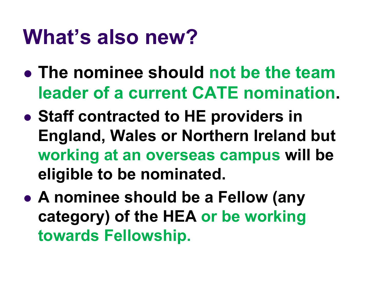#### **What's also new?**

- **The nominee should not be the team leader of a current CATE nomination.**
- **Staff contracted to HE providers in England, Wales or Northern Ireland but working at an overseas campus will be eligible to be nominated.**
- **A nominee should be a Fellow (any category) of the HEA or be working towards Fellowship.**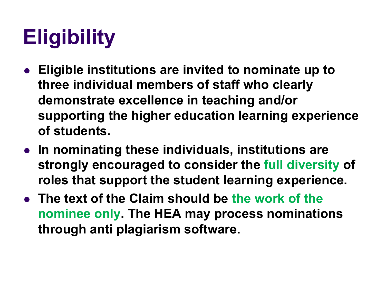# **Eligibility**

- **Eligible institutions are invited to nominate up to three individual members of staff who clearly demonstrate excellence in teaching and/or supporting the higher education learning experience of students.**
- **In nominating these individuals, institutions are strongly encouraged to consider the full diversity of roles that support the student learning experience.**
- **The text of the Claim should be the work of the nominee only. The HEA may process nominations through anti plagiarism software.**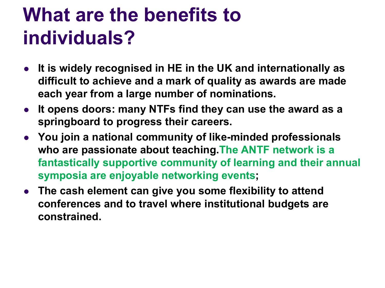#### **What are the benefits to individuals?**

- **•** It is widely recognised in HE in the UK and internationally as **difficult to achieve and a mark of quality as awards are made each year from a large number of nominations.**
- **It opens doors: many NTFs find they can use the award as a springboard to progress their careers.**
- **You join a national community of like-minded professionals who are passionate about teaching.The ANTF network is a fantastically supportive community of learning and their annual symposia are enjoyable networking events;**
- **The cash element can give you some flexibility to attend conferences and to travel where institutional budgets are constrained.**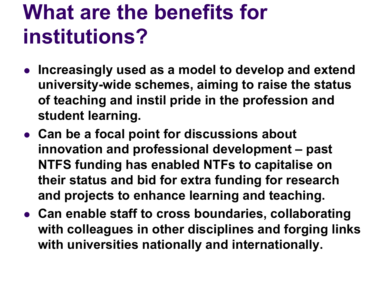## **What are the benefits for institutions?**

- **Increasingly used as a model to develop and extend university-wide schemes, aiming to raise the status of teaching and instil pride in the profession and student learning.**
- **Can be a focal point for discussions about innovation and professional development – past NTFS funding has enabled NTFs to capitalise on their status and bid for extra funding for research and projects to enhance learning and teaching.**
- **Can enable staff to cross boundaries, collaborating with colleagues in other disciplines and forging links with universities nationally and internationally.**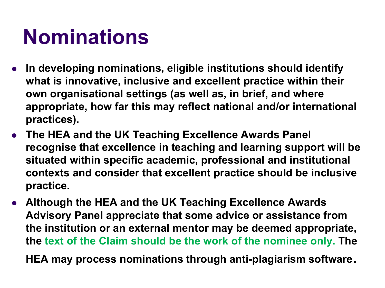## **Nominations**

- In developing nominations, eligible institutions should identify **what is innovative, inclusive and excellent practice within their own organisational settings (as well as, in brief, and where appropriate, how far this may reflect national and/or international practices).**
- **The HEA and the UK Teaching Excellence Awards Panel recognise that excellence in teaching and learning support will be situated within specific academic, professional and institutional contexts and consider that excellent practice should be inclusive practice.**
- **Although the HEA and the UK Teaching Excellence Awards Advisory Panel appreciate that some advice or assistance from the institution or an external mentor may be deemed appropriate, the text of the Claim should be the work of the nominee only. The**

**HEA may process nominations through anti-plagiarism software**.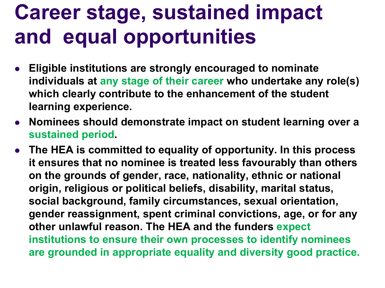## **Career stage, sustained impact and equal opportunities**

- **Eligible institutions are strongly encouraged to nominate individuals at any stage of their career who undertake any role(s) which clearly contribute to the enhancement of the student learning experience.**
- **Nominees should demonstrate impact on student learning over a sustained period.**
- **•** The HEA is committed to equality of opportunity. In this process **it ensures that no nominee is treated less favourably than others on the grounds of gender, race, nationality, ethnic or national origin, religious or political beliefs, disability, marital status, social background, family circumstances, sexual orientation, gender reassignment, spent criminal convictions, age, or for any other unlawful reason. The HEA and the funders expect institutions to ensure their own processes to identify nominees are grounded in appropriate equality and diversity good practice.**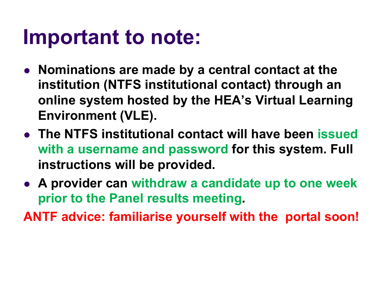#### **Important to note:**

- **Nominations are made by a central contact at the institution (NTFS institutional contact) through an online system hosted by the HEA's Virtual Learning Environment (VLE).**
- **The NTFS institutional contact will have been issued with a username and password for this system. Full instructions will be provided.**
- **A provider can withdraw a candidate up to one week prior to the Panel results meeting.**

**ANTF advice: familiarise yourself with the portal soon!**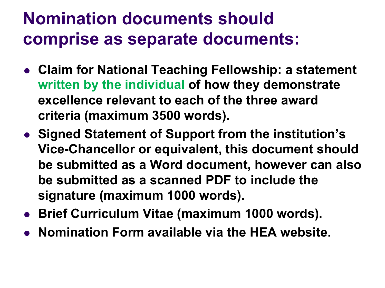#### **Nomination documents should comprise as separate documents:**

- **Claim for National Teaching Fellowship: a statement written by the individual of how they demonstrate excellence relevant to each of the three award criteria (maximum 3500 words).**
- **.** Signed Statement of Support from the institution's **Vice-Chancellor or equivalent, this document should be submitted as a Word document, however can also be submitted as a scanned PDF to include the signature (maximum 1000 words).**
- **Brief Curriculum Vitae (maximum 1000 words).**
- **Nomination Form available via the HEA website.**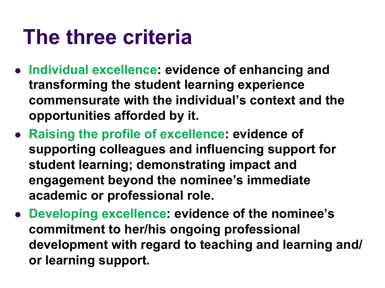#### **The three criteria**

- **Individual excellence: evidence of enhancing and transforming the student learning experience commensurate with the individual's context and the opportunities afforded by it.**
- **Raising the profile of excellence: evidence of supporting colleagues and influencing support for student learning; demonstrating impact and engagement beyond the nominee's immediate academic or professional role.**
- **.** Developing excellence: evidence of the nominee's **commitment to her/his ongoing professional development with regard to teaching and learning and/ or learning support.**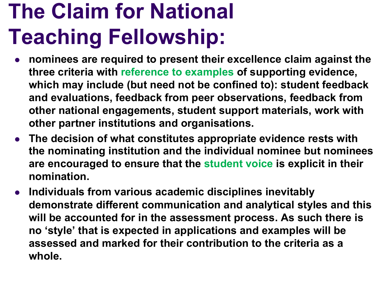# **The Claim for National Teaching Fellowship:**

- <sup>l</sup> **nominees are required to present their excellence claim against the three criteria with reference to examples of supporting evidence, which may include (but need not be confined to): student feedback and evaluations, feedback from peer observations, feedback from other national engagements, student support materials, work with other partner institutions and organisations.**
- **The decision of what constitutes appropriate evidence rests with the nominating institution and the individual nominee but nominees are encouraged to ensure that the student voice is explicit in their nomination.**
- **•** Individuals from various academic disciplines inevitably **demonstrate different communication and analytical styles and this will be accounted for in the assessment process. As such there is no 'style' that is expected in applications and examples will be assessed and marked for their contribution to the criteria as a whole.**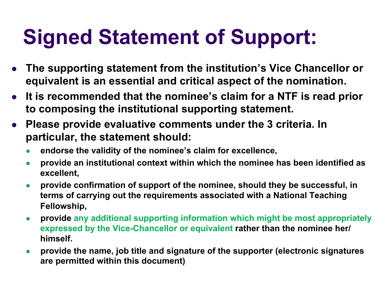## **Signed Statement of Support:**

- <sup>l</sup> **The supporting statement from the institution's Vice Chancellor or equivalent is an essential and critical aspect of the nomination.**
- **•** It is recommended that the nominee's claim for a NTF is read prior **to composing the institutional supporting statement.**
- **Please provide evaluative comments under the 3 criteria. In particular, the statement should:** 
	- <sup>l</sup> **endorse the validity of the nominee's claim for excellence,**
	- **•** provide an institutional context within which the nominee has been identified as **excellent,**
	- l **provide confirmation of support of the nominee, should they be successful, in terms of carrying out the requirements associated with a National Teaching Fellowship,**
	- **provide any additional supporting information which might be most appropriately expressed by the Vice-Chancellor or equivalent rather than the nominee her/ himself.**
	- **•** provide the name, job title and signature of the supporter (electronic signatures **are permitted within this document)**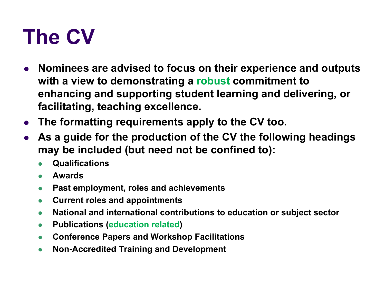## **The CV**

- **Nominees are advised to focus on their experience and outputs with a view to demonstrating a robust commitment to enhancing and supporting student learning and delivering, or facilitating, teaching excellence.**
- **The formatting requirements apply to the CV too.**
- As a guide for the production of the CV the following headings **may be included (but need not be confined to):** 
	- l **Qualifications**
	- **Awards**
	- **Past employment, roles and achievements**
	- **Current roles and appointments**
	- **National and international contributions to education or subject sector**
	- **Publications (education related)**
	- **Conference Papers and Workshop Facilitations**
	- **Non-Accredited Training and Development**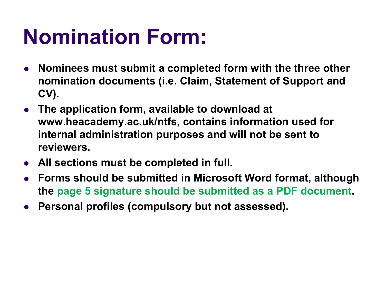## **Nomination Form:**

- <sup>l</sup> **Nominees must submit a completed form with the three other nomination documents (i.e. Claim, Statement of Support and CV).**
- **The application form, available to download at www.heacademy.ac.uk/ntfs, contains information used for internal administration purposes and will not be sent to reviewers.**
- **All sections must be completed in full.**
- <sup>l</sup> **Forms should be submitted in Microsoft Word format, although the page 5 signature should be submitted as a PDF document.**
- **Personal profiles (compulsory but not assessed).**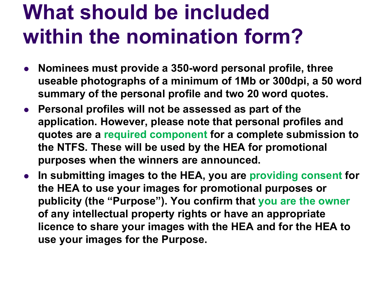## **What should be included within the nomination form?**

- **Nominees must provide a 350-word personal profile, three useable photographs of a minimum of 1Mb or 300dpi, a 50 word summary of the personal profile and two 20 word quotes.**
- **Personal profiles will not be assessed as part of the application. However, please note that personal profiles and quotes are a required component for a complete submission to the NTFS. These will be used by the HEA for promotional purposes when the winners are announced.**
- **•** In submitting images to the HEA, you are providing consent for **the HEA to use your images for promotional purposes or publicity (the "Purpose"). You confirm that you are the owner of any intellectual property rights or have an appropriate licence to share your images with the HEA and for the HEA to use your images for the Purpose.**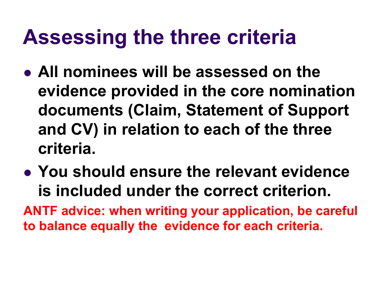#### **Assessing the three criteria**

- **All nominees will be assessed on the evidence provided in the core nomination documents (Claim, Statement of Support and CV) in relation to each of the three criteria.**
- **You should ensure the relevant evidence is included under the correct criterion.**

**ANTF advice: when writing your application, be careful to balance equally the evidence for each criteria.**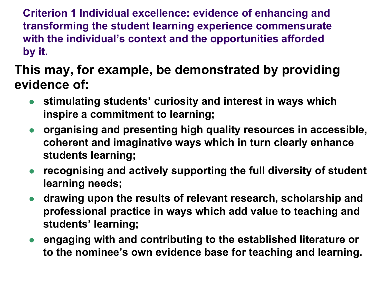**Criterion 1 Individual excellence: evidence of enhancing and transforming the student learning experience commensurate with the individual's context and the opportunities afforded by it.** 

#### **This may, for example, be demonstrated by providing evidence of:**

- **stimulating students' curiosity and interest in ways which inspire a commitment to learning;**
- **•** organising and presenting high quality resources in accessible, **coherent and imaginative ways which in turn clearly enhance students learning;**
- **•** recognising and actively supporting the full diversity of student **learning needs;**
- **drawing upon the results of relevant research, scholarship and professional practice in ways which add value to teaching and students' learning;**
- **engaging with and contributing to the established literature or to the nominee's own evidence base for teaching and learning.**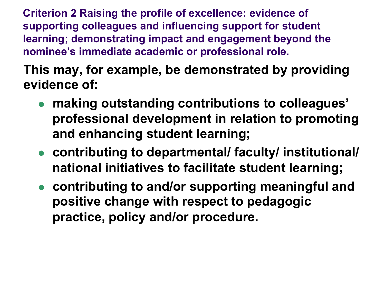**Criterion 2 Raising the profile of excellence: evidence of supporting colleagues and influencing support for student learning; demonstrating impact and engagement beyond the nominee's immediate academic or professional role.** 

**This may, for example, be demonstrated by providing evidence of:** 

- **making outstanding contributions to colleagues' professional development in relation to promoting and enhancing student learning;**
- **contributing to departmental/ faculty/ institutional/ national initiatives to facilitate student learning;**
- **contributing to and/or supporting meaningful and positive change with respect to pedagogic practice, policy and/or procedure.**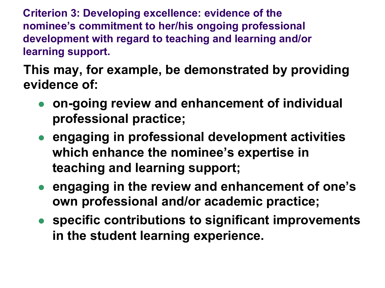**Criterion 3: Developing excellence: evidence of the nominee's commitment to her/his ongoing professional development with regard to teaching and learning and/or learning support.** 

**This may, for example, be demonstrated by providing evidence of:** 

- **. on-going review and enhancement of individual professional practice;**
- **engaging in professional development activities which enhance the nominee's expertise in teaching and learning support;**
- **engaging in the review and enhancement of one's own professional and/or academic practice;**
- **•** specific contributions to significant improvements **in the student learning experience.**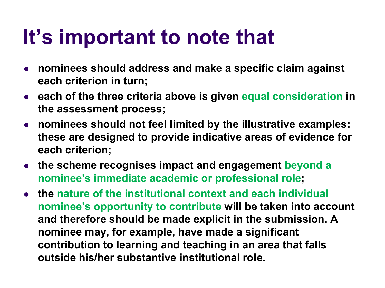#### **It's important to note that**

- **nominees should address and make a specific claim against each criterion in turn;**
- **each of the three criteria above is given equal consideration in the assessment process;**
- **•** nominees should not feel limited by the illustrative examples: **these are designed to provide indicative areas of evidence for each criterion;**
- **the scheme recognises impact and engagement beyond a nominee's immediate academic or professional role;**
- **the nature of the institutional context and each individual nominee's opportunity to contribute will be taken into account and therefore should be made explicit in the submission. A nominee may, for example, have made a significant contribution to learning and teaching in an area that falls outside his/her substantive institutional role.**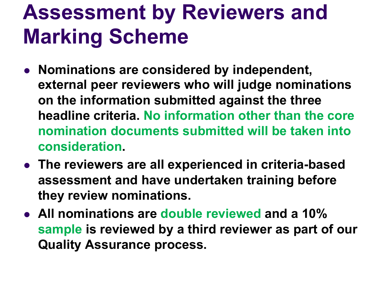## **Assessment by Reviewers and Marking Scheme**

- **Nominations are considered by independent, external peer reviewers who will judge nominations on the information submitted against the three headline criteria. No information other than the core nomination documents submitted will be taken into consideration.**
- **The reviewers are all experienced in criteria-based assessment and have undertaken training before they review nominations.**
- **All nominations are double reviewed and a 10% sample is reviewed by a third reviewer as part of our Quality Assurance process.**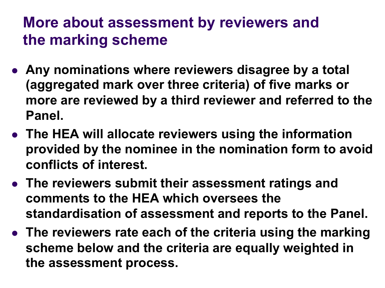#### **More about assessment by reviewers and the marking scheme**

- **Any nominations where reviewers disagree by a total (aggregated mark over three criteria) of five marks or more are reviewed by a third reviewer and referred to the Panel.**
- **The HEA will allocate reviewers using the information provided by the nominee in the nomination form to avoid conflicts of interest.**
- **The reviewers submit their assessment ratings and comments to the HEA which oversees the standardisation of assessment and reports to the Panel.**
- **The reviewers rate each of the criteria using the marking scheme below and the criteria are equally weighted in the assessment process.**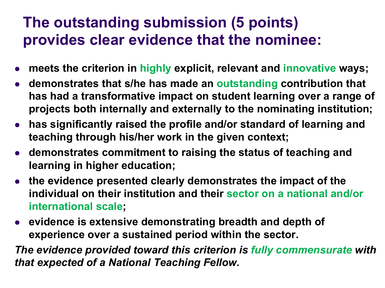#### **The outstanding submission (5 points) provides clear evidence that the nominee:**

- <sup>l</sup> **meets the criterion in highly explicit, relevant and innovative ways;**
- **demonstrates that s/he has made an outstanding contribution that has had a transformative impact on student learning over a range of projects both internally and externally to the nominating institution;**
- **has significantly raised the profile and/or standard of learning and teaching through his/her work in the given context;**
- **demonstrates commitment to raising the status of teaching and learning in higher education;**
- **the evidence presented clearly demonstrates the impact of the individual on their institution and their sector on a national and/or international scale;**
- **•** evidence is extensive demonstrating breadth and depth of **experience over a sustained period within the sector.**

*The evidence provided toward this criterion is fully commensurate with that expected of a National Teaching Fellow.*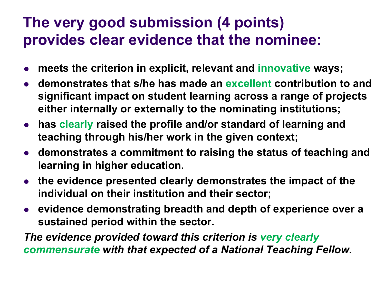#### **The very good submission (4 points) provides clear evidence that the nominee:**

- meets the criterion in explicit, relevant and innovative ways;
- **demonstrates that s/he has made an excellent contribution to and significant impact on student learning across a range of projects either internally or externally to the nominating institutions;**
- **has clearly raised the profile and/or standard of learning and teaching through his/her work in the given context;**
- **demonstrates a commitment to raising the status of teaching and learning in higher education.**
- **the evidence presented clearly demonstrates the impact of the individual on their institution and their sector;**
- **evidence demonstrating breadth and depth of experience over a sustained period within the sector.**

*The evidence provided toward this criterion is very clearly commensurate with that expected of a National Teaching Fellow.*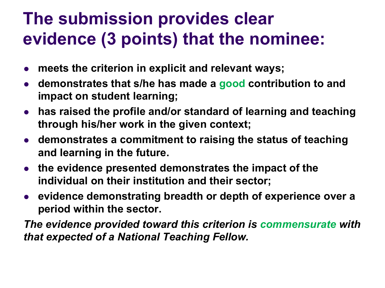#### **The submission provides clear evidence (3 points) that the nominee:**

- meets the criterion in explicit and relevant ways;
- **demonstrates that s/he has made a good contribution to and impact on student learning;**
- **•** has raised the profile and/or standard of learning and teaching **through his/her work in the given context;**
- $\bullet$  **demonstrates a commitment to raising the status of teaching and learning in the future.**
- **the evidence presented demonstrates the impact of the individual on their institution and their sector;**
- **•** evidence demonstrating breadth or depth of experience over a **period within the sector.**

*The evidence provided toward this criterion is commensurate with that expected of a National Teaching Fellow.*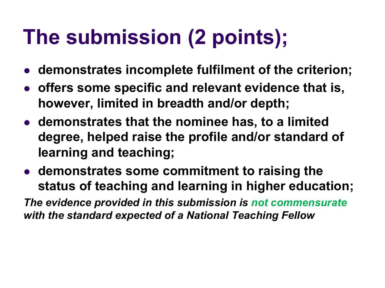## **The submission (2 points);**

- $\bullet$  **demonstrates incomplete fulfilment of the criterion;**
- **offers some specific and relevant evidence that is, however, limited in breadth and/or depth;**
- **demonstrates that the nominee has, to a limited degree, helped raise the profile and/or standard of learning and teaching;**
- **demonstrates some commitment to raising the status of teaching and learning in higher education;**

*The evidence provided in this submission is not commensurate with the standard expected of a National Teaching Fellow*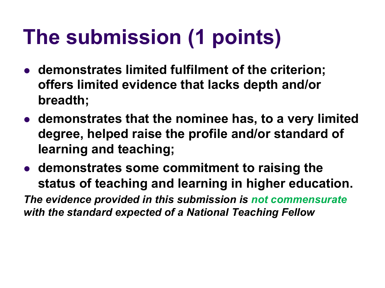# **The submission (1 points)**

- **demonstrates limited fulfilment of the criterion; offers limited evidence that lacks depth and/or breadth;**
- **demonstrates that the nominee has, to a very limited degree, helped raise the profile and/or standard of learning and teaching;**
- **demonstrates some commitment to raising the status of teaching and learning in higher education.**

*The evidence provided in this submission is not commensurate with the standard expected of a National Teaching Fellow*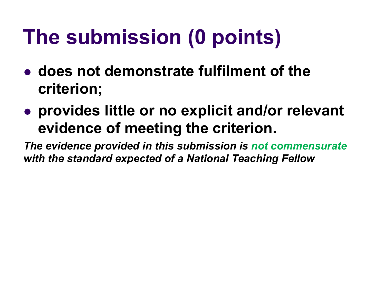# **The submission (0 points)**

- **does not demonstrate fulfilment of the criterion;**
- **provides little or no explicit and/or relevant evidence of meeting the criterion.**

*The evidence provided in this submission is not commensurate with the standard expected of a National Teaching Fellow*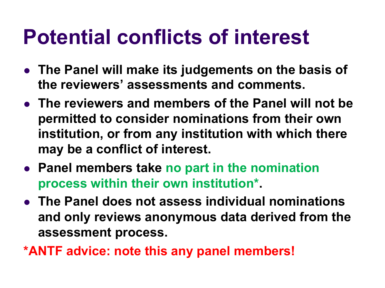#### **Potential conflicts of interest**

- **The Panel will make its judgements on the basis of the reviewers' assessments and comments.**
- **The reviewers and members of the Panel will not be permitted to consider nominations from their own institution, or from any institution with which there may be a conflict of interest.**
- **Panel members take no part in the nomination process within their own institution\*.**
- **The Panel does not assess individual nominations and only reviews anonymous data derived from the assessment process.**
- **\*ANTF advice: note this any panel members!**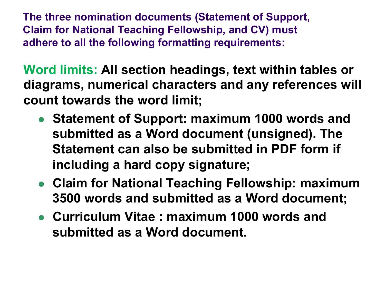**The three nomination documents (Statement of Support, Claim for National Teaching Fellowship, and CV) must adhere to all the following formatting requirements:** 

**Word limits: All section headings, text within tables or diagrams, numerical characters and any references will count towards the word limit;** 

- **Statement of Support: maximum 1000 words and submitted as a Word document (unsigned). The Statement can also be submitted in PDF form if including a hard copy signature;**
- **Claim for National Teaching Fellowship: maximum 3500 words and submitted as a Word document;**
- **Curriculum Vitae : maximum 1000 words and submitted as a Word document.**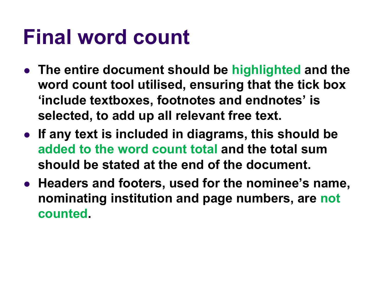### **Final word count**

- **The entire document should be highlighted and the word count tool utilised, ensuring that the tick box 'include textboxes, footnotes and endnotes' is selected, to add up all relevant free text.**
- **If any text is included in diagrams, this should be added to the word count total and the total sum should be stated at the end of the document.**
- **Headers and footers, used for the nominee's name, nominating institution and page numbers, are not counted.**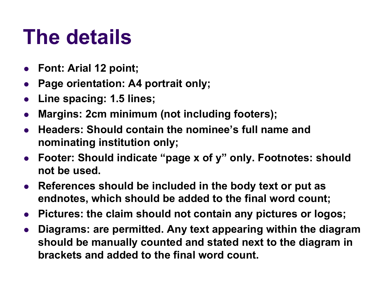## **The details**

- <sup>l</sup> **Font: Arial 12 point;**
- <sup>l</sup> **Page orientation: A4 portrait only;**
- <sup>l</sup> **Line spacing: 1.5 lines;**
- **Margins: 2cm minimum (not including footers);**
- <sup>l</sup> **Headers: Should contain the nominee's full name and nominating institution only;**
- <sup>l</sup> **Footer: Should indicate "page x of y" only. Footnotes: should not be used.**
- **References should be included in the body text or put as endnotes, which should be added to the final word count;**
- **•** Pictures: the claim should not contain any pictures or logos;
- <sup>l</sup> **Diagrams: are permitted. Any text appearing within the diagram should be manually counted and stated next to the diagram in brackets and added to the final word count.**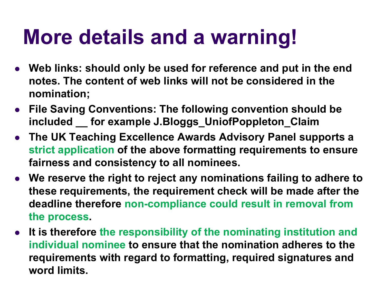## **More details and a warning!**

- **Web links: should only be used for reference and put in the end notes. The content of web links will not be considered in the nomination;**
- **File Saving Conventions: The following convention should be included \_\_ for example J.Bloggs\_UniofPoppleton\_Claim**
- **The UK Teaching Excellence Awards Advisory Panel supports a strict application of the above formatting requirements to ensure fairness and consistency to all nominees.**
- **We reserve the right to reject any nominations failing to adhere to these requirements, the requirement check will be made after the deadline therefore non-compliance could result in removal from the process.**
- **It is therefore the responsibility of the nominating institution and individual nominee to ensure that the nomination adheres to the requirements with regard to formatting, required signatures and word limits.**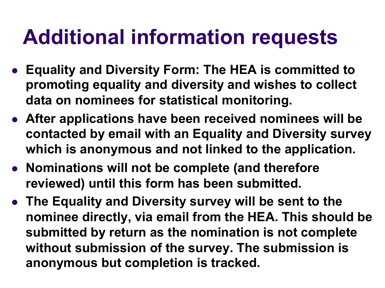#### **Additional information requests**

- **Equality and Diversity Form: The HEA is committed to promoting equality and diversity and wishes to collect data on nominees for statistical monitoring.**
- **After applications have been received nominees will be contacted by email with an Equality and Diversity survey which is anonymous and not linked to the application.**
- **Nominations will not be complete (and therefore reviewed) until this form has been submitted.**
- **The Equality and Diversity survey will be sent to the nominee directly, via email from the HEA. This should be submitted by return as the nomination is not complete without submission of the survey. The submission is anonymous but completion is tracked.**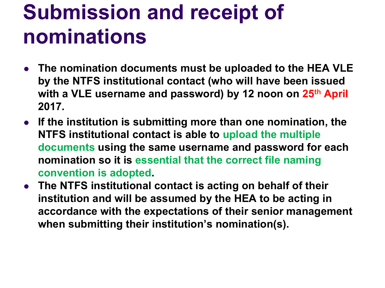## **Submission and receipt of nominations**

- **The nomination documents must be uploaded to the HEA VLE by the NTFS institutional contact (who will have been issued with a VLE username and password) by 12 noon on 25th April 2017.**
- **•** If the institution is submitting more than one nomination, the **NTFS institutional contact is able to upload the multiple documents using the same username and password for each nomination so it is essential that the correct file naming convention is adopted.**
- **The NTFS institutional contact is acting on behalf of their institution and will be assumed by the HEA to be acting in accordance with the expectations of their senior management when submitting their institution's nomination(s).**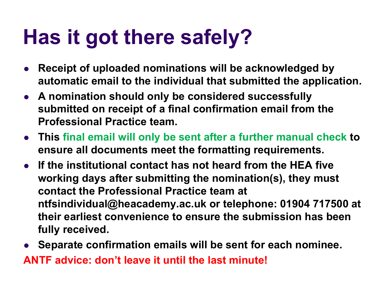## **Has it got there safely?**

- Receipt of uploaded nominations will be acknowledged by **automatic email to the individual that submitted the application.**
- **A nomination should only be considered successfully submitted on receipt of a final confirmation email from the Professional Practice team.**
- **This final email will only be sent after a further manual check to ensure all documents meet the formatting requirements.**
- **•** If the institutional contact has not heard from the HEA five **working days after submitting the nomination(s), they must contact the Professional Practice team at ntfsindividual@heacademy.ac.uk or telephone: 01904 717500 at their earliest convenience to ensure the submission has been fully received.**
- <sup>l</sup> **Separate confirmation emails will be sent for each nominee. ANTF advice: don't leave it until the last minute!**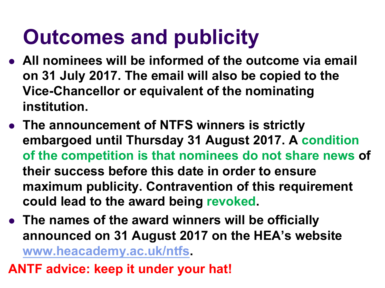## **Outcomes and publicity**

- **All nominees will be informed of the outcome via email on 31 July 2017. The email will also be copied to the Vice-Chancellor or equivalent of the nominating institution.**
- **The announcement of NTFS winners is strictly embargoed until Thursday 31 August 2017. A condition of the competition is that nominees do not share news of their success before this date in order to ensure maximum publicity. Contravention of this requirement could lead to the award being revoked.**
- The names of the award winners will be officially **announced on 31 August 2017 on the HEA's website www.heacademy.ac.uk/ntfs.**
- **ANTF advice: keep it under your hat!**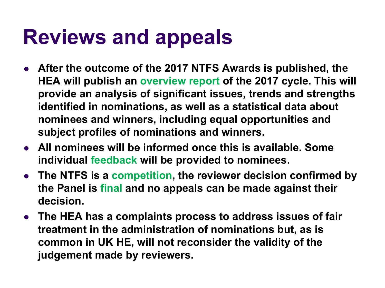#### **Reviews and appeals**

- **After the outcome of the 2017 NTFS Awards is published, the HEA will publish an overview report of the 2017 cycle. This will provide an analysis of significant issues, trends and strengths identified in nominations, as well as a statistical data about nominees and winners, including equal opportunities and subject profiles of nominations and winners.**
- **All nominees will be informed once this is available. Some individual feedback will be provided to nominees.**
- **•** The NTFS is a competition, the reviewer decision confirmed by **the Panel is final and no appeals can be made against their decision.**
- **The HEA has a complaints process to address issues of fair treatment in the administration of nominations but, as is common in UK HE, will not reconsider the validity of the judgement made by reviewers.**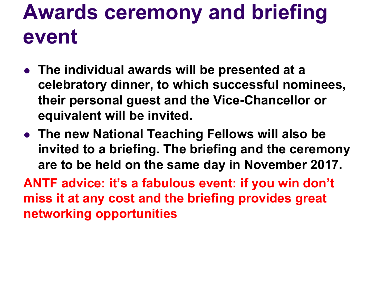## **Awards ceremony and briefing event**

- **The individual awards will be presented at a celebratory dinner, to which successful nominees, their personal guest and the Vice-Chancellor or equivalent will be invited.**
- **The new National Teaching Fellows will also be invited to a briefing. The briefing and the ceremony are to be held on the same day in November 2017.**

**ANTF advice: it's a fabulous event: if you win don't miss it at any cost and the briefing provides great networking opportunities**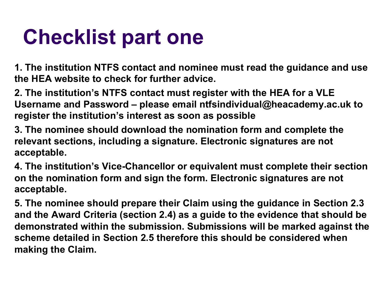## **Checklist part one**

**1. The institution NTFS contact and nominee must read the guidance and use the HEA website to check for further advice.** 

**2. The institution's NTFS contact must register with the HEA for a VLE Username and Password – please email ntfsindividual@heacademy.ac.uk to register the institution's interest as soon as possible** 

**3. The nominee should download the nomination form and complete the relevant sections, including a signature. Electronic signatures are not acceptable.** 

**4. The institution's Vice-Chancellor or equivalent must complete their section on the nomination form and sign the form. Electronic signatures are not acceptable.** 

**5. The nominee should prepare their Claim using the guidance in Section 2.3 and the Award Criteria (section 2.4) as a guide to the evidence that should be demonstrated within the submission. Submissions will be marked against the scheme detailed in Section 2.5 therefore this should be considered when making the Claim.**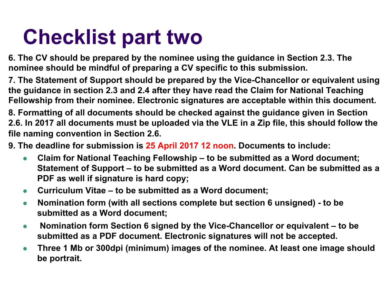## **Checklist part two**

**6. The CV should be prepared by the nominee using the guidance in Section 2.3. The nominee should be mindful of preparing a CV specific to this submission.** 

**7. The Statement of Support should be prepared by the Vice-Chancellor or equivalent using the guidance in section 2.3 and 2.4 after they have read the Claim for National Teaching Fellowship from their nominee. Electronic signatures are acceptable within this document.** 

**8. Formatting of all documents should be checked against the guidance given in Section 2.6. In 2017 all documents must be uploaded via the VLE in a Zip file, this should follow the file naming convention in Section 2.6.** 

**9. The deadline for submission is 25 April 2017 12 noon. Documents to include:** 

- **Claim for National Teaching Fellowship to be submitted as a Word document; Statement of Support – to be submitted as a Word document. Can be submitted as a PDF as well if signature is hard copy;**
- **Curriculum Vitae to be submitted as a Word document;**
- **Nomination form (with all sections complete but section 6 unsigned) to be submitted as a Word document;**
- **Nomination form Section 6 signed by the Vice-Chancellor or equivalent to be submitted as a PDF document. Electronic signatures will not be accepted.**
- **Three 1 Mb or 300dpi (minimum) images of the nominee. At least one image should be portrait.**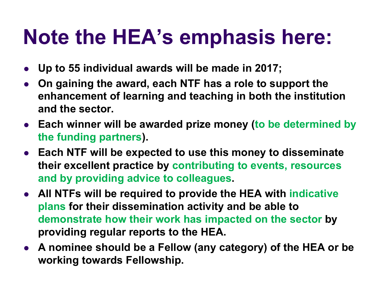#### **Note the HEA's emphasis here:**

- <sup>l</sup> **Up to 55 individual awards will be made in 2017;**
- <sup>l</sup> **On gaining the award, each NTF has a role to support the enhancement of learning and teaching in both the institution and the sector.**
- **Each winner will be awarded prize money (to be determined by the funding partners).**
- **Each NTF will be expected to use this money to disseminate their excellent practice by contributing to events, resources and by providing advice to colleagues.**
- **All NTFs will be required to provide the HEA with indicative plans for their dissemination activity and be able to demonstrate how their work has impacted on the sector by providing regular reports to the HEA.**
- **A nominee should be a Fellow (any category) of the HEA or be working towards Fellowship.**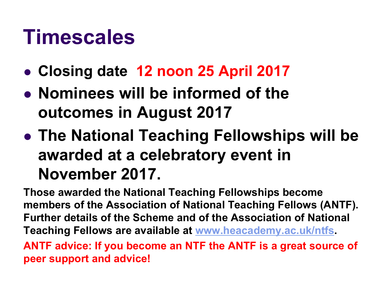#### **Timescales**

- l **Closing date 12 noon 25 April 2017**
- **Nominees will be informed of the outcomes in August 2017**
- **The National Teaching Fellowships will be awarded at a celebratory event in November 2017.**

**Those awarded the National Teaching Fellowships become members of the Association of National Teaching Fellows (ANTF). Further details of the Scheme and of the Association of National Teaching Fellows are available at www.heacademy.ac.uk/ntfs. ANTF advice: If you become an NTF the ANTF is a great source of peer support and advice!**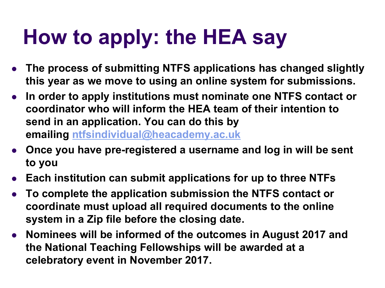## **How to apply: the HEA say**

- <sup>l</sup> **The process of submitting NTFS applications has changed slightly this year as we move to using an online system for submissions.**
- **In order to apply institutions must nominate one NTFS contact or coordinator who will inform the HEA team of their intention to send in an application. You can do this by emailing ntfsindividual@heacademy.ac.uk**
- **Once you have pre-registered a username and log in will be sent to you**
- **Each institution can submit applications for up to three NTFs**
- <sup>l</sup> **To complete the application submission the NTFS contact or coordinate must upload all required documents to the online system in a Zip file before the closing date.**
- **Nominees will be informed of the outcomes in August 2017 and the National Teaching Fellowships will be awarded at a celebratory event in November 2017.**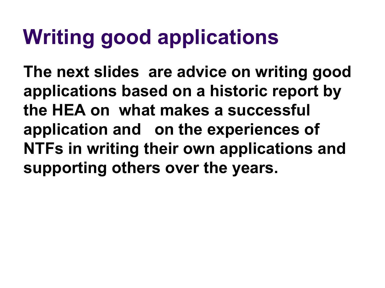## **Writing good applications**

**The next slides are advice on writing good applications based on a historic report by the HEA on what makes a successful application and on the experiences of NTFs in writing their own applications and supporting others over the years.**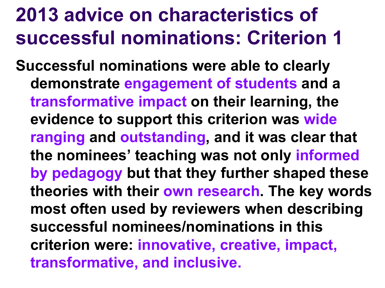#### **2013 advice on characteristics of successful nominations: Criterion 1**

**Successful nominations were able to clearly demonstrate engagement of students and a transformative impact on their learning, the evidence to support this criterion was wide ranging and outstanding, and it was clear that the nominees' teaching was not only informed by pedagogy but that they further shaped these theories with their own research. The key words most often used by reviewers when describing successful nominees/nominations in this criterion were: innovative, creative, impact, transformative, and inclusive.**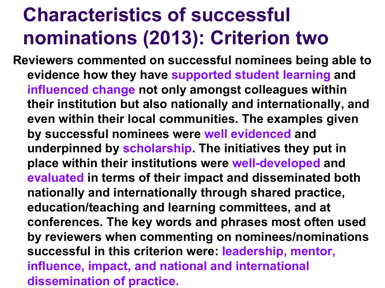#### **Characteristics of successful nominations (2013): Criterion two**

**Reviewers commented on successful nominees being able to evidence how they have supported student learning and influenced change not only amongst colleagues within their institution but also nationally and internationally, and even within their local communities. The examples given by successful nominees were well evidenced and underpinned by scholarship. The initiatives they put in place within their institutions were well-developed and evaluated in terms of their impact and disseminated both nationally and internationally through shared practice, education/teaching and learning committees, and at conferences. The key words and phrases most often used by reviewers when commenting on nominees/nominations successful in this criterion were: leadership, mentor, influence, impact, and national and international dissemination of practice.**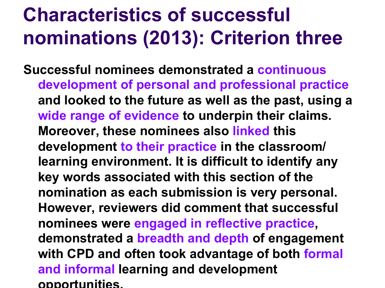#### **Characteristics of successful nominations (2013): Criterion three**

**Successful nominees demonstrated a continuous development of personal and professional practice and looked to the future as well as the past, using a wide range of evidence to underpin their claims. Moreover, these nominees also linked this development to their practice in the classroom/ learning environment. It is difficult to identify any key words associated with this section of the nomination as each submission is very personal. However, reviewers did comment that successful nominees were engaged in reflective practice, demonstrated a breadth and depth of engagement with CPD and often took advantage of both formal and informal learning and development opportunities.**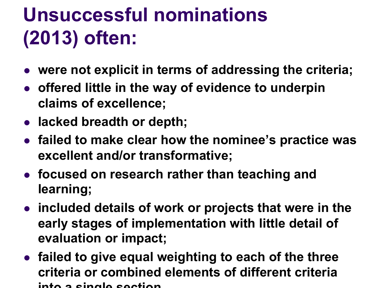### **Unsuccessful nominations (2013) often:**

- were not explicit in terms of addressing the criteria;
- <sup>l</sup> **offered little in the way of evidence to underpin claims of excellence;**
- lacked breadth or depth;
- **failed to make clear how the nominee's practice was excellent and/or transformative;**
- **focused on research rather than teaching and learning;**
- **included details of work or projects that were in the early stages of implementation with little detail of evaluation or impact;**
- $\bullet$  **failed to give equal weighting to each of the three criteria or combined elements of different criteria into a single section.**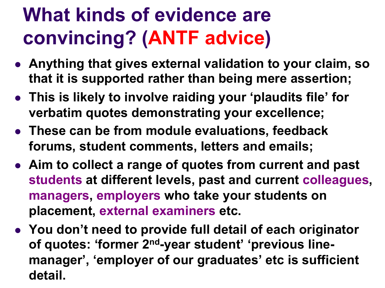#### **What kinds of evidence are convincing? (ANTF advice)**

- **Anything that gives external validation to your claim, so that it is supported rather than being mere assertion;**
- **This is likely to involve raiding your 'plaudits file' for verbatim quotes demonstrating your excellence;**
- **These can be from module evaluations, feedback forums, student comments, letters and emails;**
- **.** Aim to collect a range of quotes from current and past **students at different levels, past and current colleagues, managers, employers who take your students on placement, external examiners etc.**
- **You don't need to provide full detail of each originator of quotes: 'former 2nd-year student' 'previous linemanager', 'employer of our graduates' etc is sufficient detail.**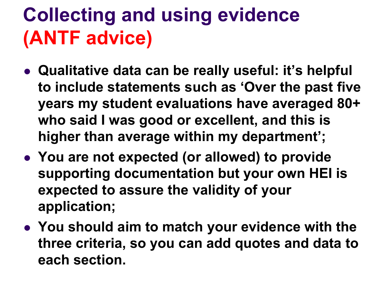#### **Collecting and using evidence (ANTF advice)**

- **.** Qualitative data can be really useful: it's helpful **to include statements such as 'Over the past five years my student evaluations have averaged 80+ who said I was good or excellent, and this is higher than average within my department';**
- **.** You are not expected (or allowed) to provide **supporting documentation but your own HEI is expected to assure the validity of your application;**
- **You should aim to match your evidence with the three criteria, so you can add quotes and data to each section.**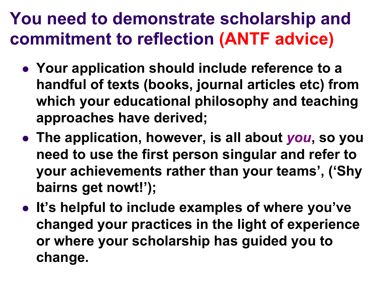#### **You need to demonstrate scholarship and commitment to reflection (ANTF advice)**

- **.** Your application should include reference to a **handful of texts (books, journal articles etc) from which your educational philosophy and teaching approaches have derived;**
- **The application, however, is all about you, so you need to use the first person singular and refer to your achievements rather than your teams', ('Shy bairns get nowt!');**
- **.** It's helpful to include examples of where you've **changed your practices in the light of experience or where your scholarship has guided you to change.**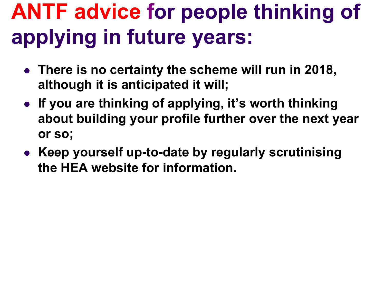# **ANTF advice for people thinking of applying in future years:**

- **.** There is no certainty the scheme will run in 2018, **although it is anticipated it will;**
- **.** If you are thinking of applying, it's worth thinking **about building your profile further over the next year or so;**
- **Keep yourself up-to-date by regularly scrutinising the HEA website for information.**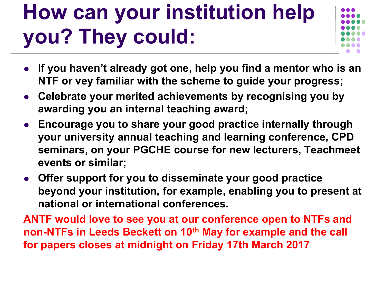# **How can your institution help you? They could:**



- If you haven't already got one, help you find a mentor who is an **NTF or vey familiar with the scheme to guide your progress;**
- **Celebrate your merited achievements by recognising you by awarding you an internal teaching award;**
- **Encourage you to share your good practice internally through your university annual teaching and learning conference, CPD seminars, on your PGCHE course for new lecturers, Teachmeet events or similar;**
- **Offer support for you to disseminate your good practice beyond your institution, for example, enabling you to present at national or international conferences.**

**ANTF would love to see you at our conference open to NTFs and non-NTFs in Leeds Beckett on 10<sup>th</sup> May for example and the call for papers closes at midnight on Friday 17th March 2017**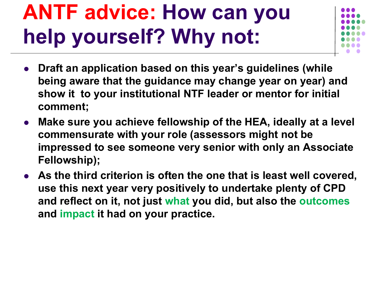# **ANTF advice: How can you help yourself? Why not:**



- <sup>l</sup> **Draft an application based on this year's guidelines (while being aware that the guidance may change year on year) and show it to your institutional NTF leader or mentor for initial comment;**
- <sup>l</sup> **Make sure you achieve fellowship of the HEA, ideally at a level commensurate with your role (assessors might not be impressed to see someone very senior with only an Associate Fellowship);**
- **As the third criterion is often the one that is least well covered, use this next year very positively to undertake plenty of CPD and reflect on it, not just what you did, but also the outcomes and impact it had on your practice.**